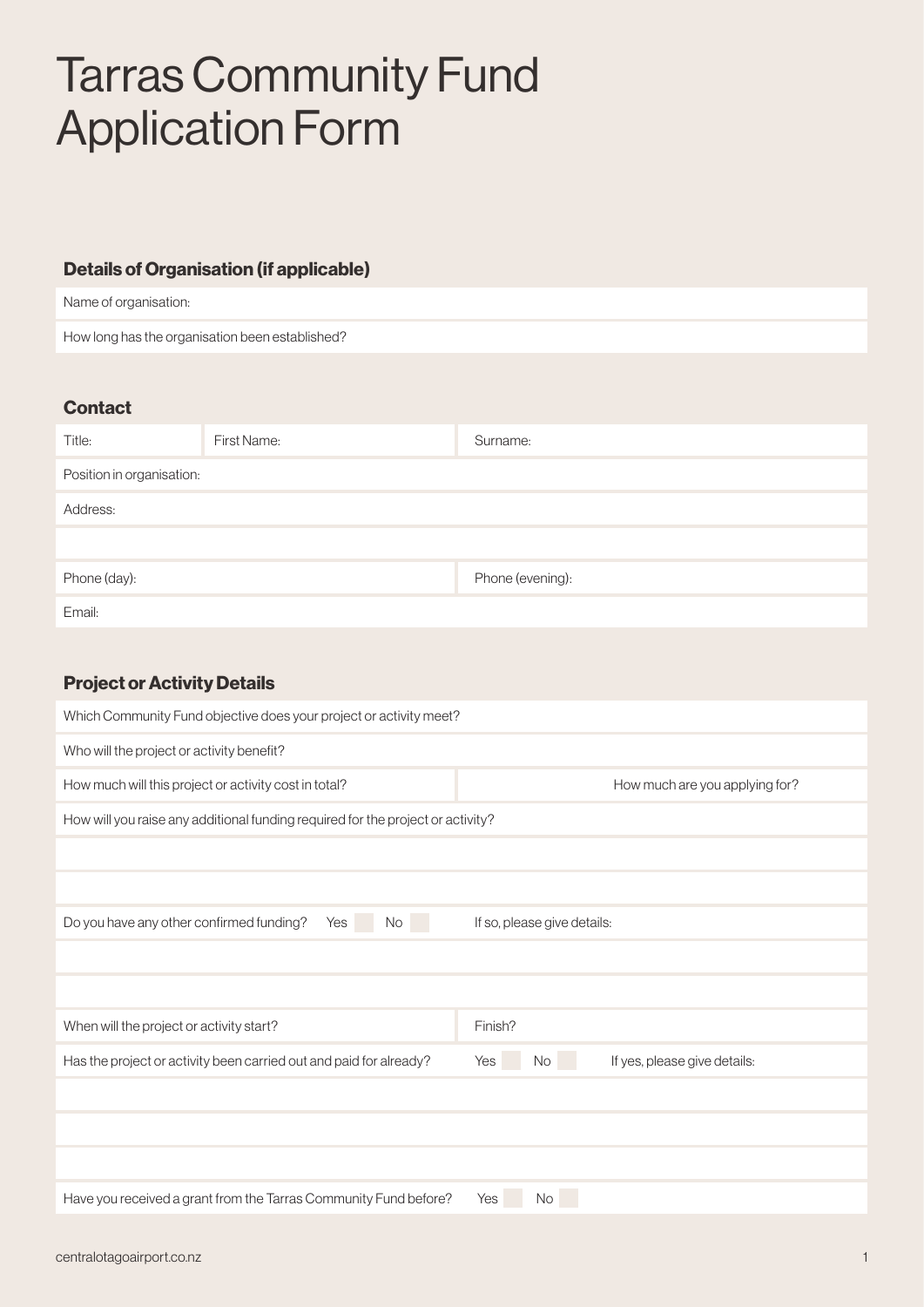# Tarras Community Fund Application Form

# Details of Organisation (if applicable)

Name of organisation:

How long has the organisation been established?

#### **Contact**

| Title:                    | First Name: | Surname:         |  |  |
|---------------------------|-------------|------------------|--|--|
| Position in organisation: |             |                  |  |  |
| Address:                  |             |                  |  |  |
|                           |             |                  |  |  |
| Phone (day):              |             | Phone (evening): |  |  |
| Email:                    |             |                  |  |  |

## Project or Activity Details

| Which Community Fund objective does your project or activity meet?              |                                                  |  |  |  |  |
|---------------------------------------------------------------------------------|--------------------------------------------------|--|--|--|--|
| Who will the project or activity benefit?                                       |                                                  |  |  |  |  |
| How much will this project or activity cost in total?                           | How much are you applying for?                   |  |  |  |  |
| How will you raise any additional funding required for the project or activity? |                                                  |  |  |  |  |
|                                                                                 |                                                  |  |  |  |  |
|                                                                                 |                                                  |  |  |  |  |
| Do you have any other confirmed funding?<br>Yes<br>No.                          | If so, please give details:                      |  |  |  |  |
|                                                                                 |                                                  |  |  |  |  |
|                                                                                 |                                                  |  |  |  |  |
| When will the project or activity start?                                        | Finish?                                          |  |  |  |  |
| Has the project or activity been carried out and paid for already?              | If yes, please give details:<br><b>No</b><br>Yes |  |  |  |  |
|                                                                                 |                                                  |  |  |  |  |
|                                                                                 |                                                  |  |  |  |  |
|                                                                                 |                                                  |  |  |  |  |
| Have you received a grant from the Tarras Community Fund before?                | Yes<br>No                                        |  |  |  |  |